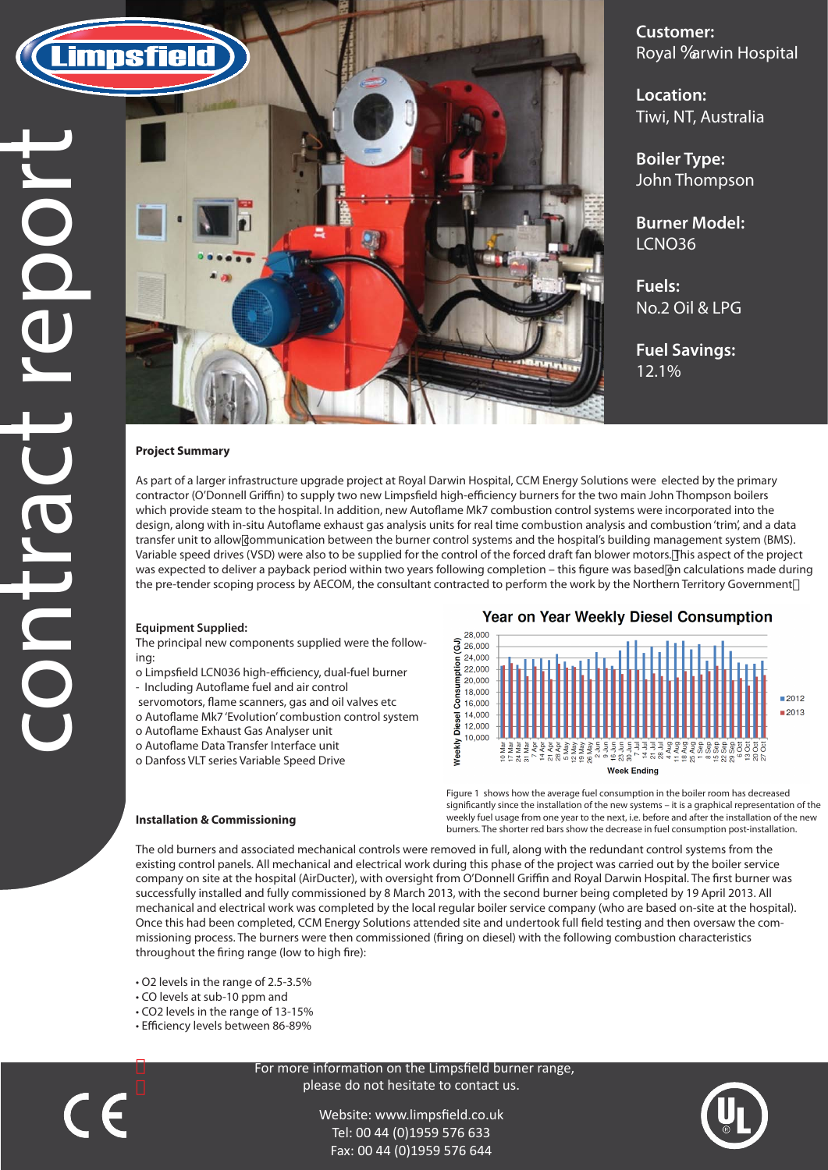**Customer: Royal 6arwin Hospital** 

**Location:** Tiwi, NT, Australia

**Boiler Type:** John Thompson

**Burner Model:** LCNO36

**Fuels:** No.2 Oil & LPG

**Fuel Savings:** 12.1%

#### **Project Summary**

As part of a larger infrastructure upgrade project at Royal Darwin Hospital, CCM Energy Solutions were elected by the primary contractor (O'Donnell Griffin) to supply two new Limpsfield high-efficiency burners for the two main John Thompson boilers which provide steam to the hospital. In addition, new Autoflame Mk7 combustion control systems were incorporated into the design, along with in-situ Autoflame exhaust gas analysis units for real time combustion analysis and combustion 'trim', and a data transfer unit to allow communication between the burner control systems and the hospital's building management system (BMS). Variable speed drives (VSD) were also to be supplied for the control of the forced draft fan blower motors. This aspect of the project was expected to deliver a payback period within two years following completion – this figure was based on calculations made during the pre-tender scoping process by AECOM, the consultant contracted to perform the work by the Northern Territory Government

- o Limpsfield LCN036 high-efficiency, dual-fuel burner
- Including Autoflame fuel and air control
- servomotors, flame scanners, gas and oil valves etc
- o Autoflame Mk7 'Evolution' combustion control system
- o Autoflame Exhaust Gas Analyser unit
- o Autoflame Data Transfer Interface unit
- o Danfoss VLT series Variable Speed Drive

### **Year on Year Weekly Diesel Consumption**



The old burners and associated mechanical controls were removed in full, along with the redundant control systems from the existing control panels. All mechanical and electrical work during this phase of the project was carried out by the boiler service company on site at the hospital (AirDucter), with oversight from O'Donnell Griffin and Royal Darwin Hospital. The first burner was successfully installed and fully commissioned by 8 March 2013, with the second burner being completed by 19 April 2013. All mechanical and electrical work was completed by the local regular boiler service company (who are based on-site at the hospital). Once this had been completed, CCM Energy Solutions attended site and undertook full field testing and then oversaw the commissioning process. The burners were then commissioned (firing on diesel) with the following combustion characteristics throughout the firing range (low to high fire):

#### **Equipment Supplied:**

The principal new components supplied were the following:

**Installation & Commissioning**

• O2 levels in the range of 2.5-3.5% • CO levels at sub-10 ppm and • CO2 levels in the range of 13-15% • Efficiency levels between 86-89%

 $C \in$ 

 For more information on the Limpsfield burner range, please do not hesitate to contact us.

> Website: www.limpsfield.co.uk Tel: 00 44 (0)1959 576 633 Fax: 00 44 (0)1959 576 644



Figure 1 shows how the average fuel consumption in the boiler room has decreased significantly since the installation of the new systems - it is a graphical representation of the weekly fuel usage from one year to the next, i.e. before and after the installation of the new burners. The shorter red bars show the decrease in fuel consumption post-installation.